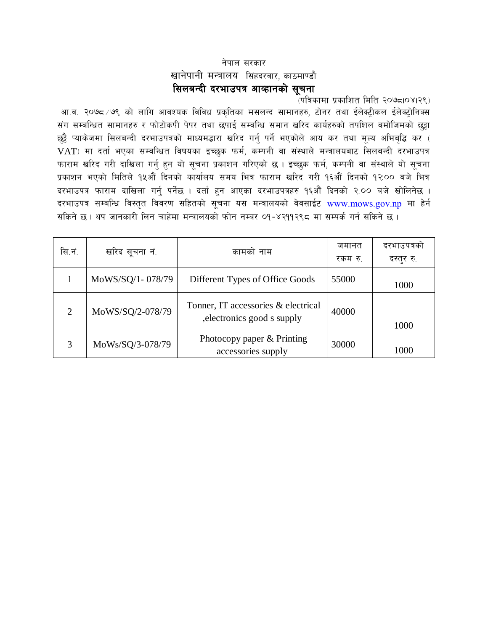### नेपाल सरकार खानेपानी मन्त्रालय सिंहदरवार, काठमाण्डौ सिलबन्दी दरभाउपत्र आव्हानको सूचना

(पत्रिकामा प्रकाशित मिति २०७८1०४1२९)

आ.व. २०७८ ⁄७९ को लागि आवश्यक विविध प्रकृतिका मसलन्द सामानहरु, टोनर तथा ईलेक्ट्रीकल ईलेक्ट्रोनिक्स संग सम्बन्धित सामानहरु र फोटोकपी पेपर तथा छपाई सम्बन्धि समान खरिद कार्यहरुको तपशिल बमोजिमको छुट्टा छुट्टै प्याकेजमा सिलबन्दी दरभाउपत्रको माध्यमद्धारा खरिद गर्नु पर्ने भएकोले आय कर तथा मूल्य अभिबृद्धि कर ( VAT) मा दर्ता भएका सम्बन्धित विषयका इच्छुक फर्म, कम्पनी वा संस्थाले मन्त्रालयबाट सिलबन्दी दरभाउपत्र फाराम खरिद गरी दाखिला गर्नु हुन यो सूचना प्रकाशन गरिएको छ । इच्छुक फर्म, कम्पनी वा संस्थाले यो सूचना प्रकाशन भएको मितिले १५औं दिनको कार्यालय समय भित्र फाराम खरिद गरी १६औं दिनको १२:०० बजे भित्र दरभाउपत्र फाराम दाखिला गर्नु पर्नेछ । दर्ता हुन आएका दरभाउपत्रहरु १६औं दिनको २.०० बजे खोलिनेछ । दरभाउपत्र सम्बन्धि विस्तृत विवरण सहितको सूचना यस मन्त्रालयको वेवसाईट www.mows.gov.np मा हेर्न सकिने छ । थप जानकारी लिन चाहेमा मन्त्रालयको फोन नम्बर ०१-४२११२९८ मा सम्पर्क गर्न सकिने छ ।

| सि.नं.         | खरिद सूचना नं.   | कामको नाम                                                          | जमानत<br>रकम रु. | दरभाउपत्रको<br>दस्तुर रु. |
|----------------|------------------|--------------------------------------------------------------------|------------------|---------------------------|
|                | MoWS/SQ/1-078/79 | Different Types of Office Goods                                    | 55000            | 1000                      |
| $\overline{2}$ | MoWS/SQ/2-078/79 | Tonner, IT accessories & electrical<br>, electronics good s supply | 40000            | 1000                      |
| 3              | MoWs/SQ/3-078/79 | Photocopy paper & Printing<br>accessories supply                   | 30000            | 1000                      |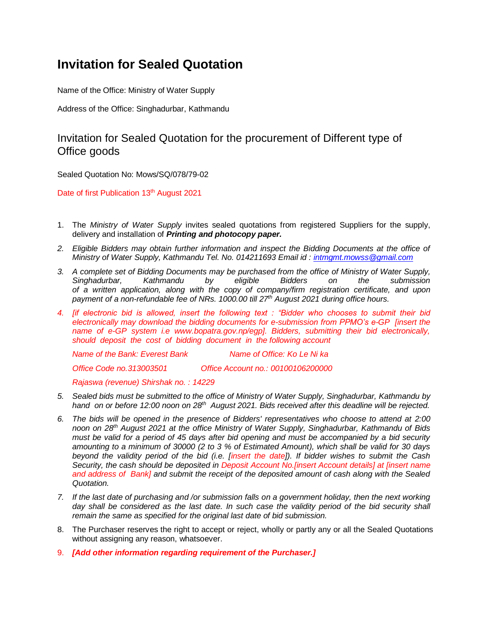# **Invitation for Sealed Quotation**

Name of the Office: Ministry of Water Supply

Address of the Office: Singhadurbar, Kathmandu

#### Invitation for Sealed Quotation for the procurement of Different type of Office goods

Sealed Quotation No: Mows/SQ/078/79-02

Date of first Publication 13<sup>th</sup> August 2021

- 1. The *Ministry of Water Supply* invites sealed quotations from registered Suppliers for the supply, delivery and installation of *Printing and photocopy paper.*
- *2. Eligible Bidders may obtain further information and inspect the Bidding Documents at the office of Ministry of Water Supply, Kathmandu Tel. No. 014211693 Email id : [intmgmt.mowss@gmail.com](mailto:intmgmt.mowss@gmail.com)*
- *3. A complete set of Bidding Documents may be purchased from the office of Ministry of Water Supply, Singhadurbar, Kathmandu by eligible Bidders on the submission of a written application, along with the copy of company/firm registration certificate, and upon payment of a non-refundable fee of NRs. 1000.00 till 27th August 2021 during office hours.*
- *4. [if electronic bid is allowed, insert the following text : "Bidder who chooses to submit their bid electronically may download the bidding documents for e-submission from PPMO's e-GP [insert the name of e-GP system i.e www.bopatra.gov.np/egp]. Bidders, submitting their bid electronically, should deposit the cost of bidding document in the following account*

*Name of the Bank: Everest Bank Name of Office: Ko Le Ni ka*

*Office Code no.313003501 Office Account no.: 00100106200000*

*Rajaswa (revenue) Shirshak no. : 14229*

- *5. Sealed bids must be submitted to the office of Ministry of Water Supply, Singhadurbar, Kathmandu by hand on or before 12:00 noon on 28th August 2021. Bids received after this deadline will be rejected.*
- *6. The bids will be opened in the presence of Bidders' representatives who choose to attend at 2:00 noon on 28th August 2021 at the office Ministry of Water Supply, Singhadurbar, Kathmandu of Bids must be valid for a period of 45 days after bid opening and must be accompanied by a bid security amounting to a minimum of 30000 (2 to 3 % of Estimated Amount), which shall be valid for 30 days beyond the validity period of the bid (i.e. [insert the date]). If bidder wishes to submit the Cash Security, the cash should be deposited in Deposit Account No.[insert Account details] at [insert name and address of Bank] and submit the receipt of the deposited amount of cash along with the Sealed Quotation.*
- *7. If the last date of purchasing and /or submission falls on a government holiday, then the next working*  day shall be considered as the last date. In such case the validity period of the bid security shall *remain the same as specified for the original last date of bid submission.*
- 8. The Purchaser reserves the right to accept or reject, wholly or partly any or all the Sealed Quotations without assigning any reason, whatsoever.
- 9. *[Add other information regarding requirement of the Purchaser.]*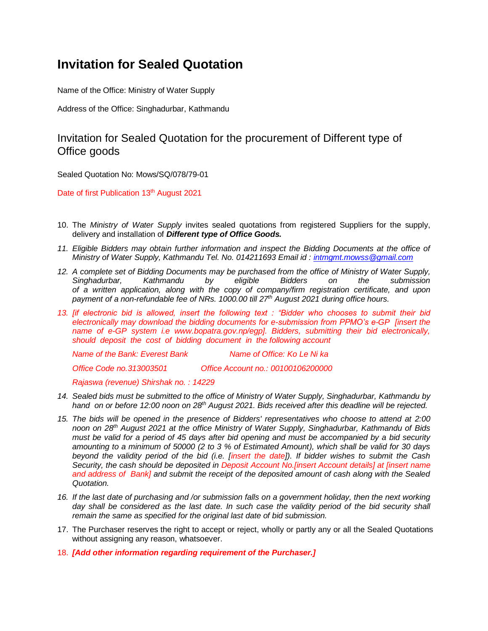# **Invitation for Sealed Quotation**

Name of the Office: Ministry of Water Supply

Address of the Office: Singhadurbar, Kathmandu

#### Invitation for Sealed Quotation for the procurement of Different type of Office goods

Sealed Quotation No: Mows/SQ/078/79-01

Date of first Publication 13<sup>th</sup> August 2021

- 10. The *Ministry of Water Supply* invites sealed quotations from registered Suppliers for the supply, delivery and installation of *Different type of Office Goods.*
- *11. Eligible Bidders may obtain further information and inspect the Bidding Documents at the office of Ministry of Water Supply, Kathmandu Tel. No. 014211693 Email id : [intmgmt.mowss@gmail.com](mailto:intmgmt.mowss@gmail.com)*
- *12. A complete set of Bidding Documents may be purchased from the office of Ministry of Water Supply, Singhadurbar, Kathmandu by eligible Bidders on the submission of a written application, along with the copy of company/firm registration certificate, and upon payment of a non-refundable fee of NRs. 1000.00 till 27th August 2021 during office hours.*
- *13. [if electronic bid is allowed, insert the following text : "Bidder who chooses to submit their bid electronically may download the bidding documents for e-submission from PPMO's e-GP [insert the name of e-GP system i.e www.bopatra.gov.np/egp]. Bidders, submitting their bid electronically, should deposit the cost of bidding document in the following account*

*Name of the Bank: Everest Bank Name of Office: Ko Le Ni ka*

*Office Code no.313003501 Office Account no.: 00100106200000*

*Rajaswa (revenue) Shirshak no. : 14229*

- *14. Sealed bids must be submitted to the office of Ministry of Water Supply, Singhadurbar, Kathmandu by hand on or before 12:00 noon on 28th August 2021. Bids received after this deadline will be rejected.*
- *15. The bids will be opened in the presence of Bidders' representatives who choose to attend at 2:00 noon on 28th August 2021 at the office Ministry of Water Supply, Singhadurbar, Kathmandu of Bids must be valid for a period of 45 days after bid opening and must be accompanied by a bid security amounting to a minimum of 50000 (2 to 3 % of Estimated Amount), which shall be valid for 30 days beyond the validity period of the bid (i.e. [insert the date]). If bidder wishes to submit the Cash Security, the cash should be deposited in Deposit Account No.[insert Account details] at [insert name and address of Bank] and submit the receipt of the deposited amount of cash along with the Sealed Quotation.*
- *16. If the last date of purchasing and /or submission falls on a government holiday, then the next working*  day shall be considered as the last date. In such case the validity period of the bid security shall *remain the same as specified for the original last date of bid submission.*
- 17. The Purchaser reserves the right to accept or reject, wholly or partly any or all the Sealed Quotations without assigning any reason, whatsoever.
- 18. *[Add other information regarding requirement of the Purchaser.]*